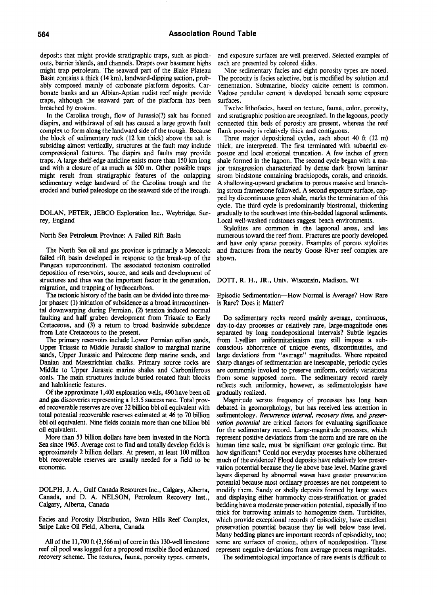deposits that might provide stratigraphic traps, such as pinchouts, barrier islands, and channels. Drapes over basement highs might trap petroleum. The seaward part of the Blake Plateau Basin contains a thick (14 km), landward-dipping section, probably composed mainly of carbonate platform deposits. Carbonate banks and an Albian-Aptian rudist reef might provide traps, although the seaward part of the platform has been breached by erosion.

In the Carolina trough, flow of Jurassic(?) salt has formed diapirs, and withdrawal of salt has caused a large growth fault complex to form along the landward side of the trough. Because the block of sedimentary rock (12 km thick) above the salt is subsiding almost vertically, structures at the fauk may include compressional features. The diapirs and faults may provide traps. A large shelf-edge anticline exists more than 150 km long and with a closure of as much as 500 m. Other possible traps might result from stratigraphic features of the onlapping sedimentary wedge landward of the Carolina trough and the eroded and buried paleoslope on the seaward side of the trough.

DOLAN, PETER, JEBCO Exploration Inc., Weybridge, Surrey, England

North Sea Petroleum Province: A Failed Rift Basin

The North Sea oil and gas province is primarily a Mesozoic failed rift basin developed in response to the break-up of the Pangean supercontinent. The associated tectonism controlled deposition of reservoirs, source, and seals and development of structures and thus was the important factor in the generation, migration, and trapping of hydrocarbons.

The tectonic history of the basin can be divided into three major phases: (1) initiation of subsidence as a broad intracontinental downwarping during Permian, (2) tension induced normal faulting and half graben development from Triassic to Early Cretaceous, and (3) a return to broad basinwide subsidence from Late Cretaceous to the present.

The primary reservoirs include Lower Permian eolian sands, Upper Triassic to Middle Jurassic shallow to marginal marine sands. Upper Jurassic and Paleocene deep marine sands, and Danian and Maestrichtian chalks. Primary source rocks are Middle to Upper Jurassic marine shales and Carboniferous coals. The main structures include buried rotated fauh blocks and halokinetic features.

Of the approximate 1,400 exploration wells, 490 have been oil and gas discoveries representing a 1:3.5 success rate. Total proved recoverable reserves are over 32 billion bbl oil equivalent with total potential recoverable reserves estimated at 46 to 70 billion bbl oil equivalent. Nine fields contain more than one billion bbl oil equivalent.

More than 53 billion dollars have been invested in the North Sea since 1965. Average cost to find and totally develop fields is approximately 2 billion dollars. At present, at least 100 milhon bbl recoverable reserves are usually needed for a field to be economic.

DOLPH, J. A., Gulf Canada Resources Inc., Calgary, Alberta, Canada, and D. A. NELSON, Petroleum Recovery Inst., Calgary, Alberta, Canada

Facies and Porosity Distribution, Swan Hills Reef Complex, Snipe Lake Oil Field, Alberta, Canada

All of the 11,700 ft (3,566 m) of core in this 130-well limestone reef oil pool was logged for a proposed miscible flood enhanced recovery scheme. The textures, fauna, porosity types, cements, and exposure surfaces are well preserved. Selected examples of each are presented by colored slides.

Nine sedimentary facies and eight porosity types are noted. The porosity is facies selective, but is modified by solution and cementation. Submarine, blocky calcite cement is common. Vadose pendular cement is developed beneath some exposure surfaces.

Twelve lithofacies, based on texture, fauna, color, porosity, and stratigraphic position are recognized. In the lagoons, poorly connected thin beds of porosity are present, whereas the reef flank porosity is relatively thick and contiguous.

Three major depositional cycles, each about 40 ft (12 m) thick, are interpreted. The first terminated with subaerial exposure and local erosional truncation. A few inches of green shale formed in the lagoon. The second cycle began with a major transgression characterized by dense dark brown laminar strom bindstone containing brachiopods, corals, and crinoids. A shallowing-upward gradation to porous massive and branching strom framestone followed. A second exposure surface, capped by discontinuous green shale, marks the termination of this cycle. The third cycle is predominantly biostromal, thickening gradually to the southwest into thin-bedded lagoonal sediments. Local well-washed rudstones suggest beach environments.

Stylolites are common in the lagoonal areas, and less numerous toward the reef front. Fractures are poorly developed and have only sparse porosity. Examples of porous stylolites and fractures from the nearby Goose River reef complex are shown.

## DOTT, R. H., JR., Univ. Wisconsin, Madison, WI

Episodic Sedimentation—How Normal is Average? How Rare is Rare? Does it Matter?

Do sedimentary rocks record mainly average, continuous, day-to-day processes or relatively rare, large-magnitude ones separated by long nondepositional intervals? Subtle legacies from Lyellian uniformitarianism may still impose a subconscious abhorrence of unique events, discontinuities, and large deviations from "average" magnitudes. Where repeated sharp changes of sedimentation are inescapable, periodic cycles are commonly invoked to preserve uniform, orderly variations from some supposed norm. The sedimentary record rarely reflects such uniformity, however, as sedimentologists have gradually realized.

Magnitude versus frequency of processes has long been debated in geomorphology, but has received less attention in sedimentology. *Recurrence interval, recovery time,* and *preservation potential* are critical factors for evaluating significance for the sedimentary record. Large-magnitude processes, which represent positive deviations from the norm and are rare on the human time scale, must be significant over geologic time. But how significant? Could not everyday processes have obliterated much of the evidence? Flood deposits have relatively low preservation potential because they lie above base level. Marine gravel layers dispersed by abnormal waves have greater preservation potential because most ordinary processes are not competent to modify them. Sandy or shelly deposits formed by large waves and displaying either hummocky cross-stratification or graded bedding have a moderate preservation potential, especially if too thick for burrowing animals to homogenize them. Turbidites, which provide exceptional records of episodicity, have excellent preservation potential because they lie well below base level. Many bedding planes are important records of episodicity, too; some are surfaces of erosion, others of nondeposition. These represent negative deviations from average process magnitudes.

The sedimentological importance of rare events is difficult to